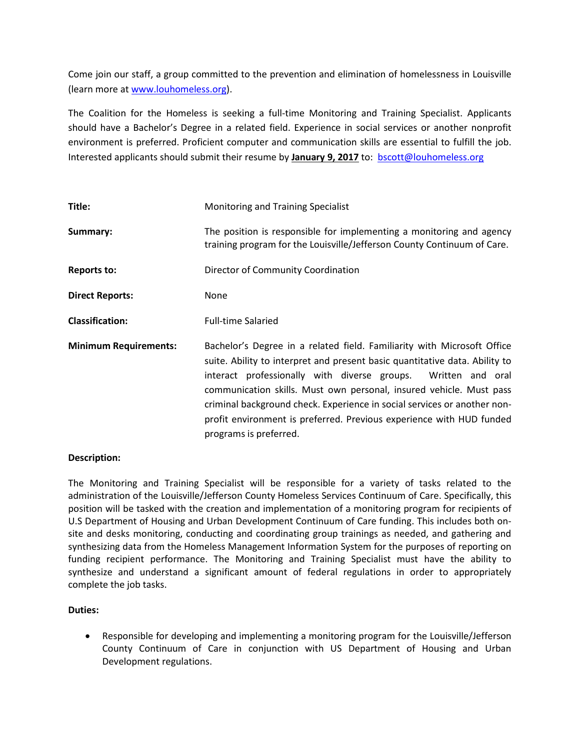Come join our staff, a group committed to the prevention and elimination of homelessness in Louisville (learn more a[t www.louhomeless.org\)](http://www.louhomeless.org/).

The Coalition for the Homeless is seeking a full-time Monitoring and Training Specialist. Applicants should have a Bachelor's Degree in a related field. Experience in social services or another nonprofit environment is preferred. Proficient computer and communication skills are essential to fulfill the job. Interested applicants should submit their resume by **January 9, 2017** to: [bscott@louhomeless.org](mailto:bscott@louhomeless.org)

| Title:                       | Monitoring and Training Specialist                                                                                                                                                                                                                                                                                                                                                                                                                                              |
|------------------------------|---------------------------------------------------------------------------------------------------------------------------------------------------------------------------------------------------------------------------------------------------------------------------------------------------------------------------------------------------------------------------------------------------------------------------------------------------------------------------------|
| Summary:                     | The position is responsible for implementing a monitoring and agency<br>training program for the Louisville/Jefferson County Continuum of Care.                                                                                                                                                                                                                                                                                                                                 |
| <b>Reports to:</b>           | Director of Community Coordination                                                                                                                                                                                                                                                                                                                                                                                                                                              |
| <b>Direct Reports:</b>       | None                                                                                                                                                                                                                                                                                                                                                                                                                                                                            |
| <b>Classification:</b>       | <b>Full-time Salaried</b>                                                                                                                                                                                                                                                                                                                                                                                                                                                       |
| <b>Minimum Requirements:</b> | Bachelor's Degree in a related field. Familiarity with Microsoft Office<br>suite. Ability to interpret and present basic quantitative data. Ability to<br>interact professionally with diverse groups.<br>Written and oral<br>communication skills. Must own personal, insured vehicle. Must pass<br>criminal background check. Experience in social services or another non-<br>profit environment is preferred. Previous experience with HUD funded<br>programs is preferred. |

## **Description:**

The Monitoring and Training Specialist will be responsible for a variety of tasks related to the administration of the Louisville/Jefferson County Homeless Services Continuum of Care. Specifically, this position will be tasked with the creation and implementation of a monitoring program for recipients of U.S Department of Housing and Urban Development Continuum of Care funding. This includes both onsite and desks monitoring, conducting and coordinating group trainings as needed, and gathering and synthesizing data from the Homeless Management Information System for the purposes of reporting on funding recipient performance. The Monitoring and Training Specialist must have the ability to synthesize and understand a significant amount of federal regulations in order to appropriately complete the job tasks.

## **Duties:**

• Responsible for developing and implementing a monitoring program for the Louisville/Jefferson County Continuum of Care in conjunction with US Department of Housing and Urban Development regulations.